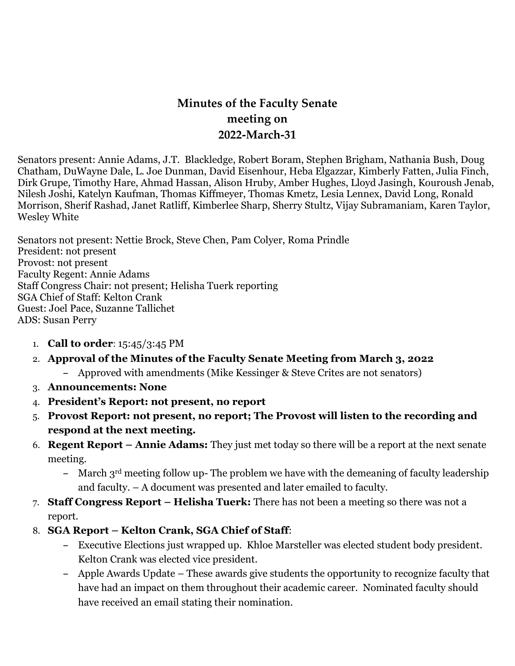# **Minutes of the Faculty Senate meeting on 2022-March-31**

Senators present: Annie Adams, J.T. Blackledge, Robert Boram, Stephen Brigham, Nathania Bush, Doug Chatham, DuWayne Dale, L. Joe Dunman, David Eisenhour, Heba Elgazzar, Kimberly Fatten, Julia Finch, Dirk Grupe, Timothy Hare, Ahmad Hassan, Alison Hruby, Amber Hughes, Lloyd Jasingh, Kouroush Jenab, Nilesh Joshi, Katelyn Kaufman, Thomas Kiffmeyer, Thomas Kmetz, Lesia Lennex, David Long, Ronald Morrison, Sherif Rashad, Janet Ratliff, Kimberlee Sharp, Sherry Stultz, Vijay Subramaniam, Karen Taylor, Wesley White

Senators not present: Nettie Brock, Steve Chen, Pam Colyer, Roma Prindle President: not present Provost: not present Faculty Regent: Annie Adams Staff Congress Chair: not present; Helisha Tuerk reporting SGA Chief of Staff: Kelton Crank Guest: Joel Pace, Suzanne Tallichet ADS: Susan Perry

1. **Call to order**: 15:45/3:45 PM

## 2. **Approval of the Minutes of the Faculty Senate Meeting from March 3, 2022**

- **–** Approved with amendments (Mike Kessinger & Steve Crites are not senators)
- 3. **Announcements: None**
- 4. **President's Report: not present, no report**
- 5. **Provost Report: not present, no report; The Provost will listen to the recording and respond at the next meeting.**
- 6. **Regent Report – Annie Adams:** They just met today so there will be a report at the next senate meeting.
	- **–** March 3rd meeting follow up- The problem we have with the demeaning of faculty leadership and faculty. – A document was presented and later emailed to faculty.
- 7. **Staff Congress Report – Helisha Tuerk:** There has not been a meeting so there was not a report.
- 8. **SGA Report – Kelton Crank, SGA Chief of Staff**:
	- **–** Executive Elections just wrapped up. Khloe Marsteller was elected student body president. Kelton Crank was elected vice president.
	- **–** Apple Awards Update These awards give students the opportunity to recognize faculty that have had an impact on them throughout their academic career. Nominated faculty should have received an email stating their nomination.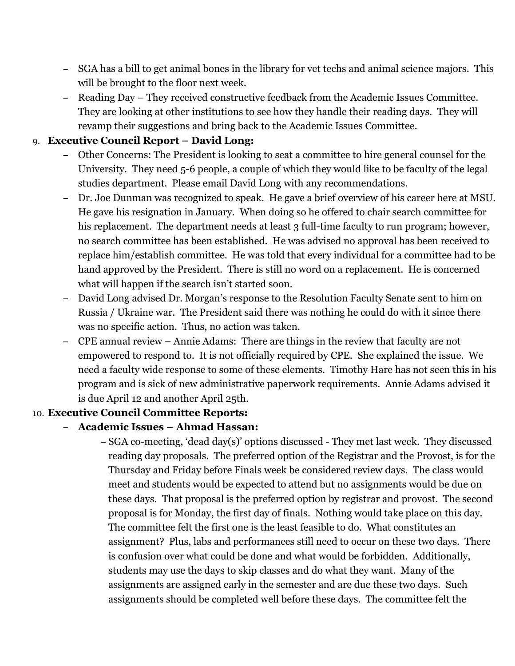- **–** SGA has a bill to get animal bones in the library for vet techs and animal science majors. This will be brought to the floor next week.
- **–** Reading Day They received constructive feedback from the Academic Issues Committee. They are looking at other institutions to see how they handle their reading days. They will revamp their suggestions and bring back to the Academic Issues Committee.

### 9. **Executive Council Report – David Long:**

- **–** Other Concerns: The President is looking to seat a committee to hire general counsel for the University. They need 5-6 people, a couple of which they would like to be faculty of the legal studies department. Please email David Long with any recommendations.
- **–** Dr. Joe Dunman was recognized to speak. He gave a brief overview of his career here at MSU. He gave his resignation in January. When doing so he offered to chair search committee for his replacement. The department needs at least 3 full-time faculty to run program; however, no search committee has been established. He was advised no approval has been received to replace him/establish committee. He was told that every individual for a committee had to be hand approved by the President. There is still no word on a replacement. He is concerned what will happen if the search isn't started soon.
- **–** David Long advised Dr. Morgan's response to the Resolution Faculty Senate sent to him on Russia / Ukraine war. The President said there was nothing he could do with it since there was no specific action. Thus, no action was taken.
- **–** CPE annual review Annie Adams: There are things in the review that faculty are not empowered to respond to. It is not officially required by CPE. She explained the issue. We need a faculty wide response to some of these elements. Timothy Hare has not seen this in his program and is sick of new administrative paperwork requirements. Annie Adams advised it is due April 12 and another April 25th.

#### 10. **Executive Council Committee Reports:**

- **– Academic Issues – Ahmad Hassan:**
	- **–** SGA co-meeting, 'dead day(s)' options discussed They met last week. They discussed reading day proposals. The preferred option of the Registrar and the Provost, is for the Thursday and Friday before Finals week be considered review days. The class would meet and students would be expected to attend but no assignments would be due on these days. That proposal is the preferred option by registrar and provost. The second proposal is for Monday, the first day of finals. Nothing would take place on this day. The committee felt the first one is the least feasible to do. What constitutes an assignment? Plus, labs and performances still need to occur on these two days. There is confusion over what could be done and what would be forbidden. Additionally, students may use the days to skip classes and do what they want. Many of the assignments are assigned early in the semester and are due these two days. Such assignments should be completed well before these days. The committee felt the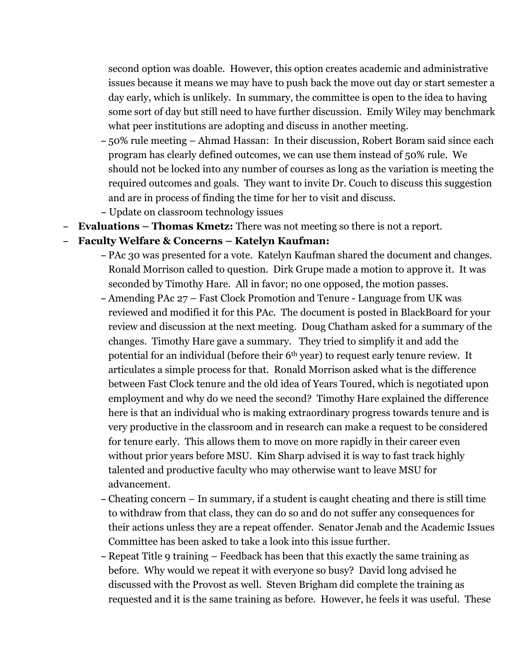second option was doable. However, this option creates academic and administrative issues because it means we may have to push back the move out day or start semester a day early, which is unlikely. In summary, the committee is open to the idea to having some sort of day but still need to have further discussion. Emily Wiley may benchmark what peer institutions are adopting and discuss in another meeting.

- **–** 50% rule meeting Ahmad Hassan: In their discussion, Robert Boram said since each program has clearly defined outcomes, we can use them instead of 50% rule. We should not be locked into any number of courses as long as the variation is meeting the required outcomes and goals. They want to invite Dr. Couch to discuss this suggestion and are in process of finding the time for her to visit and discuss.
- **–** Update on classroom technology issues
- **– Evaluations – Thomas Kmetz:** There was not meeting so there is not a report.

#### **– Faculty Welfare & Concerns – Katelyn Kaufman:**

- **–** PAc 30 was presented for a vote. Katelyn Kaufman shared the document and changes. Ronald Morrison called to question. Dirk Grupe made a motion to approve it. It was seconded by Timothy Hare. All in favor; no one opposed, the motion passes.
- **–** Amending PAc 27 Fast Clock Promotion and Tenure Language from UK was reviewed and modified it for this PAc. The document is posted in BlackBoard for your review and discussion at the next meeting. Doug Chatham asked for a summary of the changes. Timothy Hare gave a summary. They tried to simplify it and add the potential for an individual (before their 6th year) to request early tenure review. It articulates a simple process for that. Ronald Morrison asked what is the difference between Fast Clock tenure and the old idea of Years Toured, which is negotiated upon employment and why do we need the second? Timothy Hare explained the difference here is that an individual who is making extraordinary progress towards tenure and is very productive in the classroom and in research can make a request to be considered for tenure early. This allows them to move on more rapidly in their career even without prior years before MSU. Kim Sharp advised it is way to fast track highly talented and productive faculty who may otherwise want to leave MSU for advancement.
- **–** Cheating concern In summary, if a student is caught cheating and there is still time to withdraw from that class, they can do so and do not suffer any consequences for their actions unless they are a repeat offender. Senator Jenab and the Academic Issues Committee has been asked to take a look into this issue further.
- **–** Repeat Title 9 training Feedback has been that this exactly the same training as before. Why would we repeat it with everyone so busy? David long advised he discussed with the Provost as well. Steven Brigham did complete the training as requested and it is the same training as before. However, he feels it was useful. These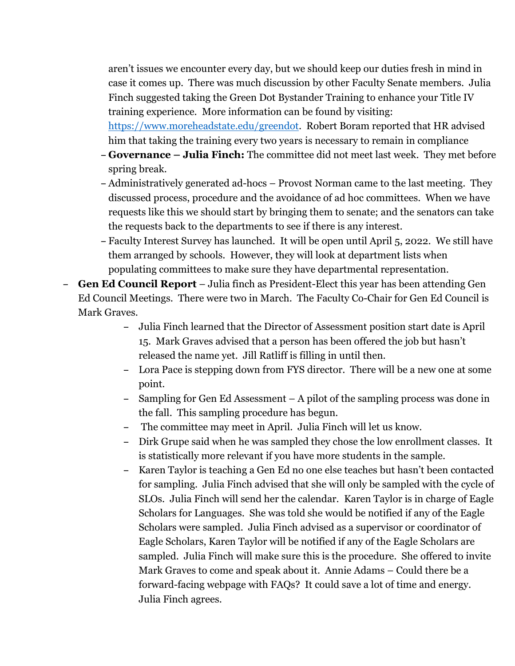aren't issues we encounter every day, but we should keep our duties fresh in mind in case it comes up. There was much discussion by other Faculty Senate members. Julia Finch suggested taking the Green Dot Bystander Training to enhance your Title IV training experience. More information can be found by visiting:

[https://www.moreheadstate.edu/greendot.](https://www.moreheadstate.edu/greendot) Robert Boram reported that HR advised him that taking the training every two years is necessary to remain in compliance

- **– Governance – Julia Finch:** The committee did not meet last week. They met before spring break.
- **–** Administratively generated ad-hocs Provost Norman came to the last meeting. They discussed process, procedure and the avoidance of ad hoc committees. When we have requests like this we should start by bringing them to senate; and the senators can take the requests back to the departments to see if there is any interest.
- **–** Faculty Interest Survey has launched. It will be open until April 5, 2022. We still have them arranged by schools. However, they will look at department lists when populating committees to make sure they have departmental representation.
- **– Gen Ed Council Report** Julia finch as President-Elect this year has been attending Gen Ed Council Meetings. There were two in March. The Faculty Co-Chair for Gen Ed Council is Mark Graves.
	- **–** Julia Finch learned that the Director of Assessment position start date is April 15. Mark Graves advised that a person has been offered the job but hasn't released the name yet. Jill Ratliff is filling in until then.
	- **–** Lora Pace is stepping down from FYS director. There will be a new one at some point.
	- **–** Sampling for Gen Ed Assessment A pilot of the sampling process was done in the fall. This sampling procedure has begun.
	- **–** The committee may meet in April. Julia Finch will let us know.
	- **–** Dirk Grupe said when he was sampled they chose the low enrollment classes. It is statistically more relevant if you have more students in the sample.
	- **–** Karen Taylor is teaching a Gen Ed no one else teaches but hasn't been contacted for sampling. Julia Finch advised that she will only be sampled with the cycle of SLOs. Julia Finch will send her the calendar. Karen Taylor is in charge of Eagle Scholars for Languages. She was told she would be notified if any of the Eagle Scholars were sampled. Julia Finch advised as a supervisor or coordinator of Eagle Scholars, Karen Taylor will be notified if any of the Eagle Scholars are sampled. Julia Finch will make sure this is the procedure. She offered to invite Mark Graves to come and speak about it. Annie Adams – Could there be a forward-facing webpage with FAQs? It could save a lot of time and energy. Julia Finch agrees.